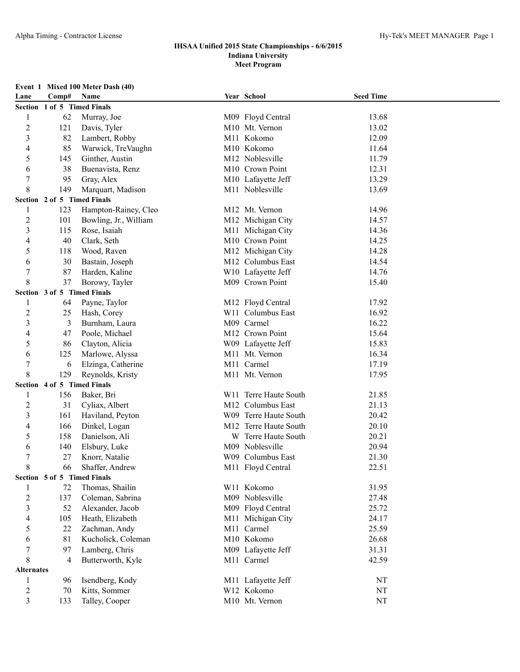# **Event 1 Mixed 100 Meter Dash (40)**

| Lane              | Comp# | Name                        | Year School           | <b>Seed Time</b> |  |
|-------------------|-------|-----------------------------|-----------------------|------------------|--|
|                   |       | Section 1 of 5 Timed Finals |                       |                  |  |
| 1                 | 62    | Murray, Joe                 | M09 Floyd Central     | 13.68            |  |
| $\overline{c}$    | 121   | Davis, Tyler                | M10 Mt. Vernon        | 13.02            |  |
| 3                 | 82    | Lambert, Robby              | M11 Kokomo            | 12.09            |  |
| 4                 | 85    | Warwick, TreVaughn          | M10 Kokomo            | 11.64            |  |
| 5                 | 145   | Ginther, Austin             | M12 Noblesville       | 11.79            |  |
| 6                 | 38    | Buenavista, Renz            | M10 Crown Point       | 12.31            |  |
| 7                 | 95    | Gray, Alex                  | M10 Lafayette Jeff    | 13.29            |  |
| 8                 | 149   | Marquart, Madison           | M11 Noblesville       | 13.69            |  |
|                   |       | Section 2 of 5 Timed Finals |                       |                  |  |
| 1                 | 123   | Hampton-Rainey, Cleo        | M12 Mt. Vernon        | 14.96            |  |
| $\overline{c}$    | 101   | Bowling, Jr., William       | M12 Michigan City     | 14.57            |  |
| 3                 | 115   | Rose, Isaiah                | M11 Michigan City     | 14.36            |  |
| 4                 | 40    | Clark, Seth                 | M10 Crown Point       | 14.25            |  |
| 5                 | 118   | Wood, Raven                 | M12 Michigan City     | 14.28            |  |
| 6                 | 30    | Bastain, Joseph             | M12 Columbus East     | 14.54            |  |
| $\boldsymbol{7}$  | 87    | Harden, Kaline              | W10 Lafayette Jeff    | 14.76            |  |
| 8                 | 37    | Borowy, Tayler              | M09 Crown Point       | 15.40            |  |
|                   |       | Section 3 of 5 Timed Finals |                       |                  |  |
| 1                 | 64    | Payne, Taylor               | M12 Floyd Central     | 17.92            |  |
| $\overline{c}$    | 25    | Hash, Corey                 | W11 Columbus East     | 16.92            |  |
| 3                 | 3     | Burnham, Laura              | M09 Carmel            | 16.22            |  |
| 4                 | 47    | Poole, Michael              | M12 Crown Point       | 15.64            |  |
| 5                 | 86    | Clayton, Alicia             | W09 Lafayette Jeff    | 15.83            |  |
| 6                 | 125   | Marlowe, Alyssa             | M11 Mt. Vernon        | 16.34            |  |
| 7                 | 6     | Elzinga, Catherine          | M11 Carmel            | 17.19            |  |
| 8                 | 129   | Reynolds, Kristy            | M11 Mt. Vernon        | 17.95            |  |
|                   |       | Section 4 of 5 Timed Finals |                       |                  |  |
| 1                 | 156   | Baker, Bri                  | W11 Terre Haute South | 21.85            |  |
| $\overline{c}$    | 31    | Cyliax, Albert              | M12 Columbus East     | 21.13            |  |
| 3                 | 161   | Haviland, Peyton            | W09 Terre Haute South | 20.42            |  |
| 4                 | 166   | Dinkel, Logan               | M12 Terre Haute South | 20.10            |  |
| 5                 | 158   | Danielson, Ali              | W Terre Haute South   | 20.21            |  |
| 6                 | 140   | Elsbury, Luke               | M09 Noblesville       | 20.94            |  |
| 7                 | 27    | Knorr, Natalie              | W09 Columbus East     | 21.30            |  |
| 8                 | 66    | Shaffer, Andrew             | M11 Floyd Central     | 22.51            |  |
|                   |       | Section 5 of 5 Timed Finals |                       |                  |  |
| 1                 | 72    | Thomas, Shailin             | W11 Kokomo            | 31.95            |  |
| $\overline{2}$    | 137   | Coleman, Sabrina            | M09 Noblesville       | 27.48            |  |
| 3                 | 52    | Alexander, Jacob            | M09 Floyd Central     | 25.72            |  |
| 4                 | 105   | Heath, Elizabeth            | M11 Michigan City     | 24.17            |  |
| 5                 | 22    | Zachman, Andy               | M11 Carmel            | 25.59            |  |
| 6                 | 81    | Kucholick, Coleman          | M10 Kokomo            | 26.68            |  |
| 7                 | 97    | Lamberg, Chris              | M09 Lafayette Jeff    | 31.31            |  |
| 8                 | 4     | Butterworth, Kyle           | M11 Carmel            | 42.59            |  |
| <b>Alternates</b> |       |                             |                       |                  |  |
| 1                 | 96    | Isendberg, Kody             | M11 Lafayette Jeff    | NT               |  |
| $\overline{c}$    | 70    | Kitts, Sommer               | W12 Kokomo            | NT               |  |
| 3                 | 133   | Talley, Cooper              | M10 Mt. Vernon        | NT               |  |
|                   |       |                             |                       |                  |  |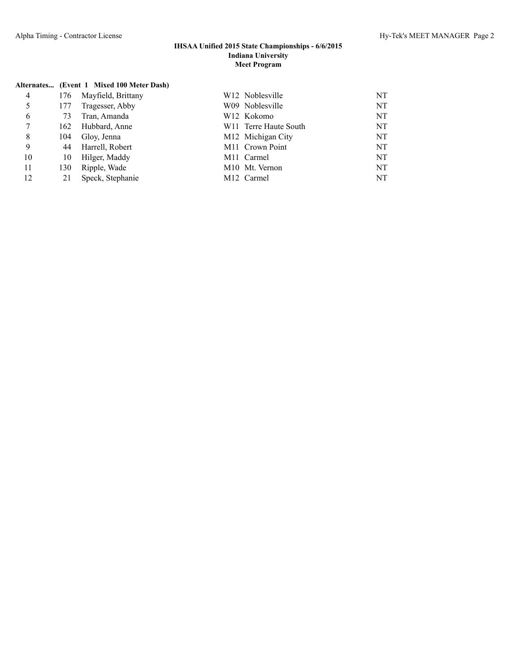|                |     | Alternates (Event 1 Mixed 100 Meter Dash) |                                        |    |
|----------------|-----|-------------------------------------------|----------------------------------------|----|
| $\overline{4}$ | 176 | Mayfield, Brittany                        | W <sub>12</sub> Noblesville            | NT |
| 5              | 177 | Tragesser, Abby                           | W09 Noblesville                        | NT |
| 6              | 73  | Tran, Amanda                              | W <sub>12</sub> Kokomo                 | NT |
| 7              | 162 | Hubbard, Anne                             | W <sub>11</sub> Terre Haute South      | NT |
| 8              | 104 | Glov, Jenna                               | M12 Michigan City                      | NT |
| 9              | 44  | Harrell, Robert                           | M11 Crown Point                        | NT |
| 10             | 10  | Hilger, Maddy                             | M <sub>11</sub> Carmel                 | NT |
| 11             | 130 | Ripple, Wade                              | M <sub>10</sub> M <sub>t.</sub> Vernon | NT |
| 12             | 21  | Speck, Stephanie                          | M <sub>12</sub> Carmel                 | NT |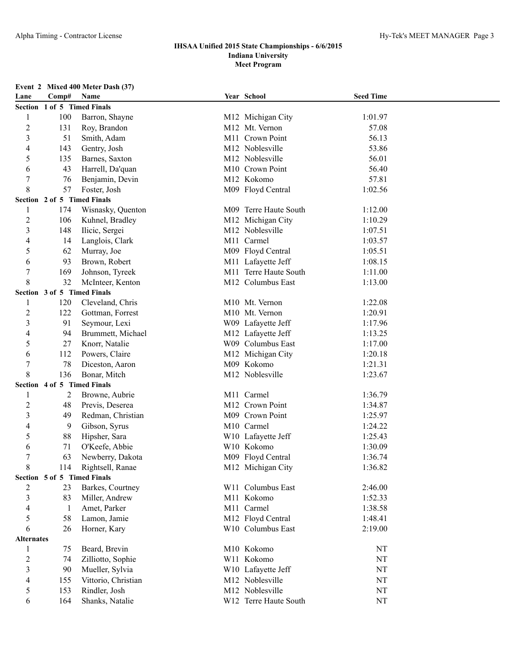# **Event 2 Mixed 400 Meter Dash (37)**

| Lane              | Comp# | Name                        | Year School           | <b>Seed Time</b> |  |
|-------------------|-------|-----------------------------|-----------------------|------------------|--|
|                   |       | Section 1 of 5 Timed Finals |                       |                  |  |
| 1                 | 100   | Barron, Shayne              | M12 Michigan City     | 1:01.97          |  |
| $\overline{2}$    | 131   | Roy, Brandon                | M12 Mt. Vernon        | 57.08            |  |
| $\mathfrak{Z}$    | 51    | Smith, Adam                 | M11 Crown Point       | 56.13            |  |
| 4                 | 143   | Gentry, Josh                | M12 Noblesville       | 53.86            |  |
| 5                 | 135   | Barnes, Saxton              | M12 Noblesville       | 56.01            |  |
| 6                 | 43    | Harrell, Da'quan            | M10 Crown Point       | 56.40            |  |
| 7                 | 76    | Benjamin, Devin             | M12 Kokomo            | 57.81            |  |
| 8                 | 57    | Foster, Josh                | M09 Floyd Central     | 1:02.56          |  |
|                   |       | Section 2 of 5 Timed Finals |                       |                  |  |
| 1                 | 174   | Wisnasky, Quenton           | M09 Terre Haute South | 1:12.00          |  |
| $\overline{c}$    | 106   | Kuhnel, Bradley             | M12 Michigan City     | 1:10.29          |  |
| $\mathfrak{Z}$    | 148   | Ilicic, Sergei              | M12 Noblesville       | 1:07.51          |  |
| 4                 | 14    | Langlois, Clark             | M11 Carmel            | 1:03.57          |  |
| 5                 | 62    | Murray, Joe                 | M09 Floyd Central     | 1:05.51          |  |
| 6                 | 93    | Brown, Robert               | M11 Lafayette Jeff    | 1:08.15          |  |
| $\boldsymbol{7}$  | 169   | Johnson, Tyreek             | M11 Terre Haute South | 1:11.00          |  |
| 8                 | 32    | McInteer, Kenton            | M12 Columbus East     | 1:13.00          |  |
|                   |       | Section 3 of 5 Timed Finals |                       |                  |  |
| 1                 | 120   | Cleveland, Chris            | M10 Mt. Vernon        | 1:22.08          |  |
| $\overline{2}$    | 122   | Gottman, Forrest            | M10 Mt. Vernon        | 1:20.91          |  |
| 3                 | 91    | Seymour, Lexi               | W09 Lafayette Jeff    | 1:17.96          |  |
| 4                 | 94    | Brummett, Michael           | M12 Lafayette Jeff    | 1:13.25          |  |
| 5                 | 27    | Knorr, Natalie              | W09 Columbus East     | 1:17.00          |  |
| 6                 | 112   | Powers, Claire              | M12 Michigan City     | 1:20.18          |  |
| 7                 | 78    | Diceston, Aaron             | M09 Kokomo            | 1:21.31          |  |
| 8                 | 136   | Bonar, Mitch                | M12 Noblesville       | 1:23.67          |  |
|                   |       | Section 4 of 5 Timed Finals |                       |                  |  |
| 1                 | 2     | Browne, Aubrie              | M11 Carmel            | 1:36.79          |  |
| $\overline{2}$    | 48    | Previs, Deserea             | M12 Crown Point       | 1:34.87          |  |
| 3                 | 49    | Redman, Christian           | M09 Crown Point       | 1:25.97          |  |
| 4                 | 9     | Gibson, Syrus               | M10 Carmel            | 1:24.22          |  |
| 5                 | 88    | Hipsher, Sara               | W10 Lafayette Jeff    | 1:25.43          |  |
| 6                 | 71    | O'Keefe, Abbie              | W10 Kokomo            | 1:30.09          |  |
| 7                 | 63    | Newberry, Dakota            | M09 Floyd Central     | 1:36.74          |  |
| 8                 | 114   | Rightsell, Ranae            | M12 Michigan City     | 1:36.82          |  |
|                   |       | Section 5 of 5 Timed Finals |                       |                  |  |
| 2                 | 23    | Barkes, Courtney            | W11 Columbus East     | 2:46.00          |  |
| $\mathfrak{Z}$    | 83    | Miller, Andrew              | M11 Kokomo            | 1:52.33          |  |
| 4                 | 1     | Amet, Parker                | M11 Carmel            | 1:38.58          |  |
| 5                 | 58    | Lamon, Jamie                | M12 Floyd Central     | 1:48.41          |  |
| 6                 | 26    | Horner, Kary                | W10 Columbus East     | 2:19.00          |  |
| <b>Alternates</b> |       |                             |                       |                  |  |
| 1                 | 75    | Beard, Brevin               | M10 Kokomo            | NT               |  |
| $\overline{c}$    | 74    | Zilliotto, Sophie           | W11 Kokomo            | NT               |  |
| 3                 | 90    | Mueller, Sylvia             | W10 Lafayette Jeff    | NT               |  |
| 4                 | 155   | Vittorio, Christian         | M12 Noblesville       | NT               |  |
| 5                 | 153   | Rindler, Josh               | M12 Noblesville       | NT               |  |
| 6                 | 164   | Shanks, Natalie             | W12 Terre Haute South | NT               |  |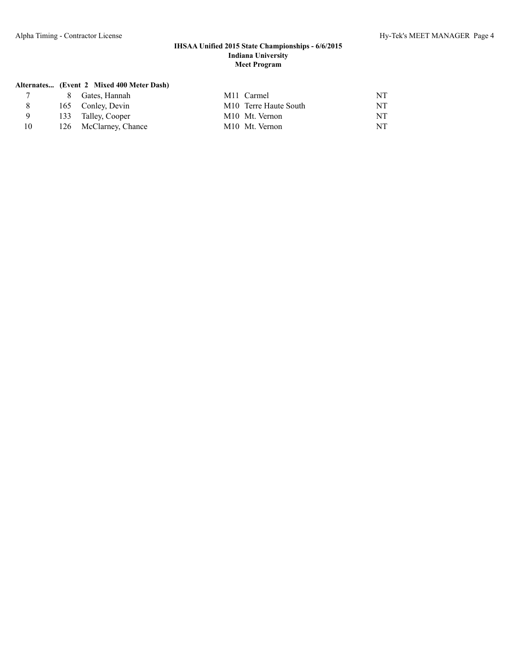# **Alternates... (Event 2 Mixed 400 Meter Dash)**

|    | 8 Gates, Hannah       | M <sub>11</sub> Carmel                 | NT  |
|----|-----------------------|----------------------------------------|-----|
|    | 165 Conley, Devin     | M <sub>10</sub> Terre Haute South      | NT  |
|    | 133 Talley, Cooper    | M <sub>10</sub> M <sub>t.</sub> Vernon | NT. |
| 10 | 126 McClarney, Chance | M <sub>10</sub> M <sub>t.</sub> Vernon | NT  |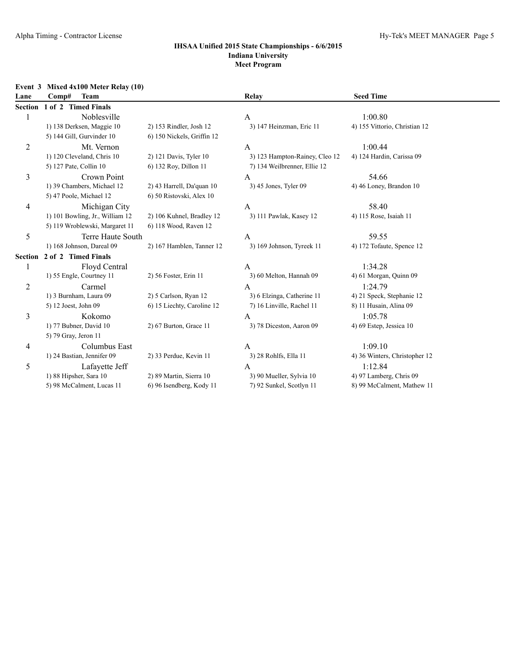| Event 3<br>Lane | Mixed 4x100 Meter Relay (10)<br>Comp#<br><b>Team</b>                               |                                                       | Relay                                                                   | <b>Seed Time</b>                                                 |
|-----------------|------------------------------------------------------------------------------------|-------------------------------------------------------|-------------------------------------------------------------------------|------------------------------------------------------------------|
|                 | Section 1 of 2 Timed Finals                                                        |                                                       |                                                                         |                                                                  |
|                 | Noblesville<br>1) 138 Derksen, Maggie 10<br>5) 144 Gill, Gurvinder 10              | 2) 153 Rindler, Josh 12<br>6) 150 Nickels, Griffin 12 | $\mathbf{A}$<br>3) 147 Heinzman, Eric 11                                | 1:00.80<br>4) 155 Vittorio, Christian 12                         |
| 2               | Mt. Vernon<br>1) 120 Cleveland, Chris 10<br>5) 127 Pate, Collin 10                 | 2) 121 Davis, Tyler 10<br>6) 132 Roy, Dillon 11       | A<br>3) 123 Hampton-Rainey, Cleo 12<br>7) 134 Weilbrenner, Ellie 12     | 1:00.44<br>4) 124 Hardin, Carissa 09                             |
| 3               | Crown Point<br>1) 39 Chambers, Michael 12<br>5) 47 Poole, Michael 12               | 2) 43 Harrell, Da'quan 10<br>6) 50 Ristovski, Alex 10 | $\mathbf{A}$<br>3) 45 Jones, Tyler 09                                   | 54.66<br>4) 46 Loney, Brandon 10                                 |
| 4               | Michigan City<br>1) 101 Bowling, Jr., William 12<br>5) 119 Wroblewski, Margaret 11 | 2) 106 Kuhnel, Bradley 12<br>6) 118 Wood, Raven 12    | $\mathbf{A}$<br>3) 111 Pawlak, Kasey 12                                 | 58.40<br>4) 115 Rose, Isaiah 11                                  |
| 5               | Terre Haute South<br>1) 168 Johnson, Dareal 09                                     | 2) 167 Hamblen, Tanner 12                             | A<br>3) 169 Johnson, Tyreek 11                                          | 59.55<br>4) 172 Tofaute, Spence 12                               |
| Section         | 2 of 2 Timed Finals                                                                |                                                       |                                                                         |                                                                  |
|                 | <b>Floyd Central</b><br>1) 55 Engle, Courtney 11                                   | 2) 56 Foster, Erin 11                                 | $\mathbf{A}$<br>3) 60 Melton, Hannah 09                                 | 1:34.28<br>4) 61 Morgan, Quinn 09                                |
| $\overline{c}$  | Carmel<br>1) 3 Burnham, Laura 09<br>5) 12 Joest, John 09                           | 2) 5 Carlson, Ryan 12<br>6) 15 Liechty, Caroline 12   | $\mathbf{A}$<br>3) 6 Elzinga, Catherine 11<br>7) 16 Linville, Rachel 11 | 1:24.79<br>4) 21 Speck, Stephanie 12<br>8) 11 Husain, Alina 09   |
| 3               | Kokomo<br>1) 77 Bubner, David 10<br>5) 79 Gray, Jeron 11                           | 2) 67 Burton, Grace 11                                | $\mathbf{A}$<br>3) 78 Diceston, Aaron 09                                | 1:05.78<br>4) 69 Estep, Jessica 10                               |
| 4               | Columbus East<br>1) 24 Bastian, Jennifer 09                                        | 2) 33 Perdue, Kevin 11                                | A<br>3) 28 Rohlfs, Ella 11                                              | 1:09.10<br>4) 36 Winters, Christopher 12                         |
| 5               | Lafayette Jeff<br>1) 88 Hipsher, Sara 10<br>5) 98 McCalment, Lucas 11              | 2) 89 Martin, Sierra 10<br>6) 96 Isendberg, Kody 11   | A<br>3) 90 Mueller, Sylvia 10<br>7) 92 Sunkel, Scotlyn 11               | 1:12.84<br>4) 97 Lamberg, Chris 09<br>8) 99 McCalment, Mathew 11 |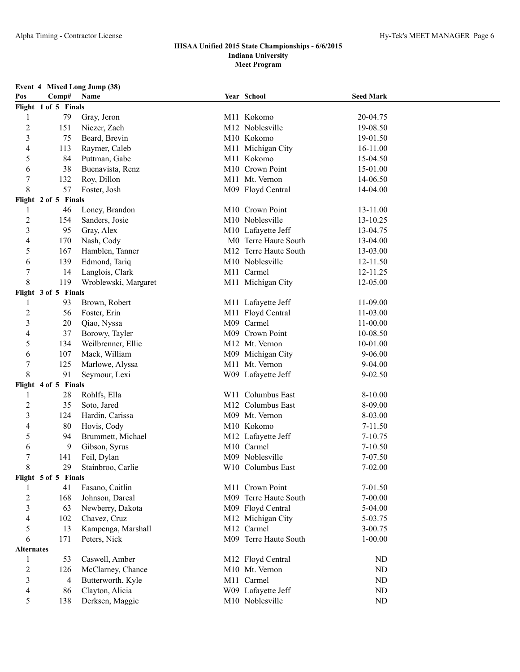| Event 4 Mixed Long Jump (38) |  |  |  |  |  |
|------------------------------|--|--|--|--|--|
|------------------------------|--|--|--|--|--|

| Pos               | Comp#                | Name                 | Year School           | <b>Seed Mark</b> |  |
|-------------------|----------------------|----------------------|-----------------------|------------------|--|
|                   | Flight 1 of 5 Finals |                      |                       |                  |  |
| 1                 | 79                   | Gray, Jeron          | M11 Kokomo            | 20-04.75         |  |
| $\overline{c}$    | 151                  | Niezer, Zach         | M12 Noblesville       | 19-08.50         |  |
| $\mathfrak{Z}$    | 75                   | Beard, Brevin        | M10 Kokomo            | 19-01.50         |  |
| 4                 | 113                  | Raymer, Caleb        | M11 Michigan City     | 16-11.00         |  |
| 5                 | 84                   | Puttman, Gabe        | M11 Kokomo            | 15-04.50         |  |
| 6                 | 38                   | Buenavista, Renz     | M10 Crown Point       | 15-01.00         |  |
| 7                 | 132                  | Roy, Dillon          | M11 Mt. Vernon        | 14-06.50         |  |
| 8                 | 57                   | Foster, Josh         | M09 Floyd Central     | 14-04.00         |  |
|                   | Flight 2 of 5 Finals |                      |                       |                  |  |
| 1                 | 46                   | Loney, Brandon       | M10 Crown Point       | 13-11.00         |  |
| 2                 | 154                  | Sanders, Josie       | M10 Noblesville       | 13-10.25         |  |
| $\mathfrak{Z}$    | 95                   | Gray, Alex           | M10 Lafayette Jeff    | 13-04.75         |  |
| 4                 | 170                  | Nash, Cody           | M0 Terre Haute South  | 13-04.00         |  |
| 5                 | 167                  | Hamblen, Tanner      | M12 Terre Haute South | 13-03.00         |  |
| 6                 | 139                  | Edmond, Tariq        | M10 Noblesville       | 12-11.50         |  |
| 7                 | 14                   | Langlois, Clark      | M11 Carmel            | 12-11.25         |  |
| 8                 | 119                  | Wroblewski, Margaret | M11 Michigan City     | 12-05.00         |  |
|                   | Flight 3 of 5 Finals |                      |                       |                  |  |
| 1                 | 93                   | Brown, Robert        | M11 Lafayette Jeff    | 11-09.00         |  |
| 2                 | 56                   | Foster, Erin         | M11 Floyd Central     | 11-03.00         |  |
| 3                 | 20                   | Qiao, Nyssa          | M09 Carmel            | 11-00.00         |  |
| 4                 | 37                   | Borowy, Tayler       | M09 Crown Point       | 10-08.50         |  |
| 5                 | 134                  | Weilbrenner, Ellie   | M12 Mt. Vernon        | 10-01.00         |  |
| 6                 | 107                  | Mack, William        | M09 Michigan City     | $9 - 06.00$      |  |
| $\boldsymbol{7}$  | 125                  | Marlowe, Alyssa      | M11 Mt. Vernon        | $9 - 04.00$      |  |
| 8                 | 91                   | Seymour, Lexi        | W09 Lafayette Jeff    | $9 - 02.50$      |  |
|                   | Flight 4 of 5 Finals |                      |                       |                  |  |
| 1                 | 28                   | Rohlfs, Ella         | W11 Columbus East     | 8-10.00          |  |
| $\overline{2}$    | 35                   | Soto, Jared          | M12 Columbus East     | 8-09.00          |  |
| $\mathfrak{Z}$    | 124                  | Hardin, Carissa      | M09 Mt. Vernon        | 8-03.00          |  |
| 4                 | 80                   | Hovis, Cody          | M10 Kokomo            | $7 - 11.50$      |  |
| 5                 | 94                   | Brummett, Michael    | M12 Lafayette Jeff    | 7-10.75          |  |
| 6                 | 9                    | Gibson, Syrus        | M10 Carmel            | 7-10.50          |  |
| 7                 | 141                  | Feil, Dylan          | M09 Noblesville       | 7-07.50          |  |
| 8                 | 29                   | Stainbroo, Carlie    | W10 Columbus East     | 7-02.00          |  |
|                   | Flight 5 of 5 Finals |                      |                       |                  |  |
| 1                 | 41                   | Fasano, Caitlin      | M11 Crown Point       | 7-01.50          |  |
| $\overline{c}$    | 168                  | Johnson, Dareal      | M09 Terre Haute South | 7-00.00          |  |
| $\mathfrak{Z}$    | 63                   | Newberry, Dakota     | M09 Floyd Central     | 5-04.00          |  |
| 4                 | 102                  | Chavez, Cruz         | M12 Michigan City     | 5-03.75          |  |
| 5                 | 13                   | Kampenga, Marshall   | M12 Carmel            | 3-00.75          |  |
| 6                 | 171                  | Peters, Nick         | M09 Terre Haute South | $1 - 00.00$      |  |
| <b>Alternates</b> |                      |                      |                       |                  |  |
| 1                 | 53                   | Caswell, Amber       | M12 Floyd Central     | ND               |  |
| $\overline{c}$    | 126                  | McClarney, Chance    | M10 Mt. Vernon        | ND               |  |
| $\mathfrak{Z}$    | 4                    | Butterworth, Kyle    | M11 Carmel            | ND               |  |
| 4                 | 86                   | Clayton, Alicia      | W09 Lafayette Jeff    | ND               |  |
| 5                 | 138                  | Derksen, Maggie      | M10 Noblesville       | ND               |  |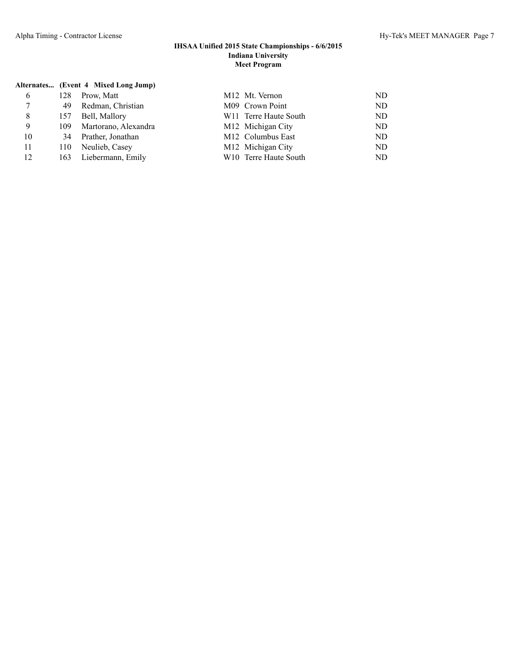|    |     | Alternates (Event 4 Mixed Long Jump) |                                        |     |
|----|-----|--------------------------------------|----------------------------------------|-----|
| 6  | 128 | Prow, Matt                           | M <sub>12</sub> M <sub>t.</sub> Vernon | ND. |
| 7  | 49  | Redman, Christian                    | M09 Crown Point                        | ND. |
| 8  | 157 | Bell, Mallory                        | W <sub>11</sub> Terre Haute South      | ND  |
| 9  | 109 | Martorano, Alexandra                 | M <sub>12</sub> Michigan City          | ND. |
| 10 | 34  | Prather, Jonathan                    | M <sub>12</sub> Columbus East          | ND  |
| 11 | 110 | Neulieb, Casey                       | M12 Michigan City                      | ND  |
| 12 | 163 | Liebermann, Emily                    | W <sub>10</sub> Terre Haute South      | ND. |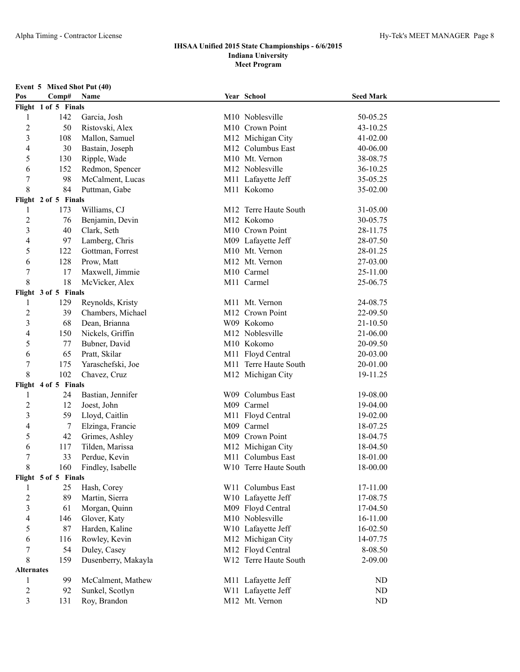|  |  | <b>Event 5 Mixed Shot Put (40)</b> |  |  |  |
|--|--|------------------------------------|--|--|--|
|--|--|------------------------------------|--|--|--|

| Pos                      | Comp#                | Name                | Year School           | <b>Seed Mark</b> |  |
|--------------------------|----------------------|---------------------|-----------------------|------------------|--|
|                          | Flight 1 of 5 Finals |                     |                       |                  |  |
| 1                        | 142                  | Garcia, Josh        | M10 Noblesville       | 50-05.25         |  |
| $\overline{2}$           | 50                   | Ristovski, Alex     | M10 Crown Point       | 43-10.25         |  |
| 3                        | 108                  | Mallon, Samuel      | M12 Michigan City     | 41-02.00         |  |
| 4                        | 30                   | Bastain, Joseph     | M12 Columbus East     | 40-06.00         |  |
| 5                        | 130                  | Ripple, Wade        | M10 Mt. Vernon        | 38-08.75         |  |
| 6                        | 152                  | Redmon, Spencer     | M12 Noblesville       | 36-10.25         |  |
| $\boldsymbol{7}$         | 98                   | McCalment, Lucas    | M11 Lafayette Jeff    | 35-05.25         |  |
| 8                        | 84                   | Puttman, Gabe       | M11 Kokomo            | 35-02.00         |  |
|                          | Flight 2 of 5 Finals |                     |                       |                  |  |
| 1                        | 173                  | Williams, CJ        | M12 Terre Haute South | 31-05.00         |  |
| $\overline{2}$           | 76                   | Benjamin, Devin     | M12 Kokomo            | 30-05.75         |  |
| $\mathfrak{Z}$           | 40                   | Clark, Seth         | M10 Crown Point       | 28-11.75         |  |
| $\overline{4}$           | 97                   | Lamberg, Chris      | M09 Lafayette Jeff    | 28-07.50         |  |
| 5                        | 122                  | Gottman, Forrest    | M10 Mt. Vernon        | 28-01.25         |  |
| 6                        | 128                  | Prow, Matt          | M12 Mt. Vernon        | 27-03.00         |  |
| $\tau$                   | 17                   | Maxwell, Jimmie     | M10 Carmel            | 25-11.00         |  |
| 8                        | 18                   | McVicker, Alex      | M11 Carmel            | 25-06.75         |  |
|                          | Flight 3 of 5 Finals |                     |                       |                  |  |
| 1                        | 129                  | Reynolds, Kristy    | M11 Mt. Vernon        | 24-08.75         |  |
| $\overline{c}$           | 39                   | Chambers, Michael   | M12 Crown Point       | 22-09.50         |  |
| $\mathfrak{Z}$           | 68                   | Dean, Brianna       | W09 Kokomo            | 21-10.50         |  |
| 4                        | 150                  | Nickels, Griffin    | M12 Noblesville       | 21-06.00         |  |
| 5                        | 77                   | Bubner, David       | M10 Kokomo            | 20-09.50         |  |
| 6                        | 65                   | Pratt, Skilar       | M11 Floyd Central     | 20-03.00         |  |
| $\boldsymbol{7}$         | 175                  | Yaraschefski, Joe   | M11 Terre Haute South | 20-01.00         |  |
| 8                        | 102                  | Chavez, Cruz        | M12 Michigan City     | 19-11.25         |  |
|                          | Flight 4 of 5 Finals |                     |                       |                  |  |
| 1                        | 24                   | Bastian, Jennifer   | W09 Columbus East     | 19-08.00         |  |
| $\overline{c}$           | 12                   | Joest, John         | M09 Carmel            | 19-04.00         |  |
| $\mathfrak{Z}$           | 59                   | Lloyd, Caitlin      | M11 Floyd Central     | 19-02.00         |  |
| 4                        | 7                    | Elzinga, Francie    | M09 Carmel            | 18-07.25         |  |
| 5                        | 42                   | Grimes, Ashley      | M09 Crown Point       | 18-04.75         |  |
| 6                        | 117                  | Tilden, Marissa     | M12 Michigan City     | 18-04.50         |  |
| 7                        | 33                   | Perdue, Kevin       | M11 Columbus East     | 18-01.00         |  |
| 8                        | 160                  | Findley, Isabelle   | W10 Terre Haute South | 18-00.00         |  |
|                          | Flight 5 of 5 Finals |                     |                       |                  |  |
| 1                        | 25                   | Hash, Corey         | W11 Columbus East     | 17-11.00         |  |
| $\overline{2}$           | 89                   | Martin, Sierra      | W10 Lafayette Jeff    | 17-08.75         |  |
| $\mathfrak{Z}$           | 61                   | Morgan, Quinn       | M09 Floyd Central     | 17-04.50         |  |
| $\overline{\mathcal{L}}$ | 146                  | Glover, Katy        | M10 Noblesville       | 16-11.00         |  |
| 5                        | 87                   | Harden, Kaline      | W10 Lafayette Jeff    | 16-02.50         |  |
| 6                        | 116                  | Rowley, Kevin       | M12 Michigan City     | 14-07.75         |  |
| $\tau$                   | 54                   | Duley, Casey        | M12 Floyd Central     | 8-08.50          |  |
| 8                        | 159                  | Dusenberry, Makayla | W12 Terre Haute South | 2-09.00          |  |
| <b>Alternates</b>        |                      |                     |                       |                  |  |
| 1                        | 99                   | McCalment, Mathew   | M11 Lafayette Jeff    | ND               |  |
| $\sqrt{2}$               | 92                   | Sunkel, Scotlyn     | W11 Lafayette Jeff    | ND               |  |
| 3                        | 131                  | Roy, Brandon        | M12 Mt. Vernon        | ND               |  |